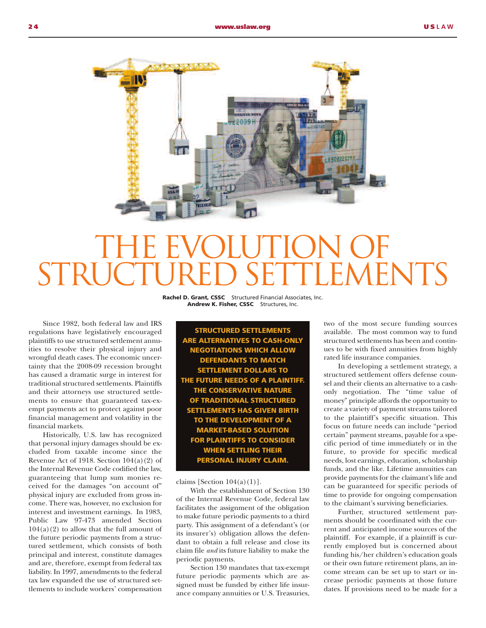

## THE EVOLUTION OF STRUCTURED SETTLEMENTS

**Rachel D. Grant, CSSC** Structured Financial Associates, Inc. **Andrew K. Fisher, CSSC** Structures, Inc.

 Since 1982, both federal law and IRS regulations have legislatively encouraged plaintiffs to use structured settlement annuities to resolve their physical injury and wrongful death cases. The economic uncertainty that the 2008-09 recession brought has caused a dramatic surge in interest for traditional structured settlements. Plaintiffs and their attorneys use structured settlements to ensure that guaranteed tax-exempt payments act to protect against poor financial management and volatility in the financial markets.

 Historically, U.S. law has recognized that personal injury damages should be excluded from taxable income since the Revenue Act of 1918. Section  $104(a)(2)$  of the Internal Revenue Code codified the law, guaranteeing that lump sum monies received for the damages "on account of" physical injury are excluded from gross income. There was, however, no exclusion for interest and investment earnings. In 1983, Public Law 97-473 amended Section  $104(a)(2)$  to allow that the full amount of the future periodic payments from a structured settlement, which consists of both principal and interest, constitute damages and are, therefore, exempt from federal tax liability. In 1997, amendments to the federal tax law expanded the use of structured settlements to include workers' compensation

**STRUCTURED SETTLEMENTS ARE ALTERNATIVES TO CASH-ONLY NEGOTIATIONS WHICH ALLOW DEFENDANTS TO MATCH SETTLEMENT DOLLARS TO THE FUTURE NEEDS OF A PLAINTIFF. THE CONSERVATIVE NATURE OF TRADITIONAL STRUCTURED SETTLEMENTS HAS GIVEN BIRTH TO THE DEVELOPMENT OF A MARKET-BASED SOLUTION FOR PLAINTIFFS TO CONSIDER WHEN SETTLING THEIR PERSONAL INJURY CLAIM.**

claims [Section 104(a)(1)].

 With the establishment of Section 130 of the Internal Revenue Code, federal law facilitates the assignment of the obligation to make future periodic payments to a third party. This assignment of a defendant's (or its insurer's) obligation allows the defendant to obtain a full release and close its claim file *and* its future liability to make the periodic payments.

 Section 130 mandates that tax-exempt future periodic payments which are assigned must be funded by either life insurance company annuities or U.S. Treasuries,

two of the most secure funding sources available. The most common way to fund structured settlements has been and continues to be with fixed annuities from highly rated life insurance companies.

 In developing a settlement strategy, a structured settlement offers defense counsel and their clients an alternative to a cashonly negotiation. The "time value of money" principle affords the opportunity to create a variety of payment streams tailored to the plaintiff's specific situation. This focus on future needs can include "period certain" payment streams, payable for a specific period of time immediately or in the future, to provide for specific medical needs, lost earnings, education, scholarship funds, and the like. Lifetime annuities can provide payments for the claimant's life and can be guaranteed for specific periods of time to provide for ongoing compensation to the claimant's surviving beneficiaries.

 Further, structured settlement payments should be coordinated with the current and anticipated income sources of the plaintiff. For example, if a plaintiff is currently employed but is concerned about funding his/her children's education goals or their own future retirement plans, an income stream can be set up to start or increase periodic payments at those future dates. If provisions need to be made for a